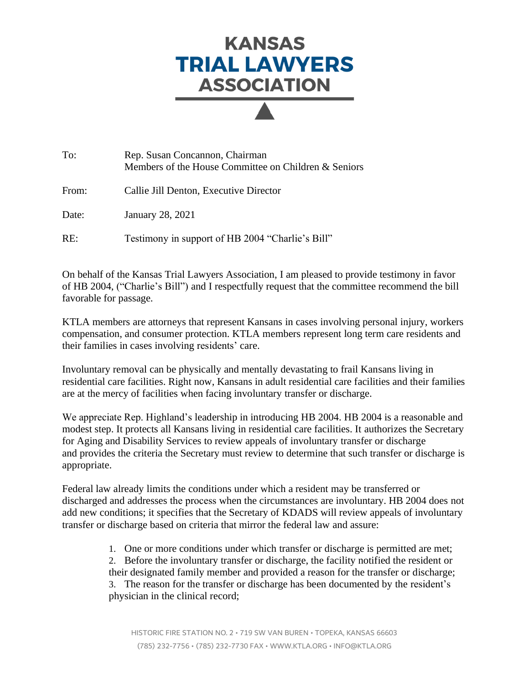## **KANSAS TRIAL LAWYERS ASSOCIATION**

| To:   | Rep. Susan Concannon, Chairman<br>Members of the House Committee on Children & Seniors |
|-------|----------------------------------------------------------------------------------------|
| From: | Callie Jill Denton, Executive Director                                                 |
| Date: | January 28, 2021                                                                       |
| RE:   | Testimony in support of HB 2004 "Charlie's Bill"                                       |

On behalf of the Kansas Trial Lawyers Association, I am pleased to provide testimony in favor of HB 2004, ("Charlie's Bill") and I respectfully request that the committee recommend the bill favorable for passage.

KTLA members are attorneys that represent Kansans in cases involving personal injury, workers compensation, and consumer protection. KTLA members represent long term care residents and their families in cases involving residents' care.

Involuntary removal can be physically and mentally devastating to frail Kansans living in residential care facilities. Right now, Kansans in adult residential care facilities and their families are at the mercy of facilities when facing involuntary transfer or discharge.

We appreciate Rep. Highland's leadership in introducing HB 2004. HB 2004 is a reasonable and modest step. It protects all Kansans living in residential care facilities. It authorizes the Secretary for Aging and Disability Services to review appeals of involuntary transfer or discharge and provides the criteria the Secretary must review to determine that such transfer or discharge is appropriate.

Federal law already limits the conditions under which a resident may be transferred or discharged and addresses the process when the circumstances are involuntary. HB 2004 does not add new conditions; it specifies that the Secretary of KDADS will review appeals of involuntary transfer or discharge based on criteria that mirror the federal law and assure:

1. One or more conditions under which transfer or discharge is permitted are met;

2. Before the involuntary transfer or discharge, the facility notified the resident or their designated family member and provided a reason for the transfer or discharge; 3. The reason for the transfer or discharge has been documented by the resident's physician in the clinical record;